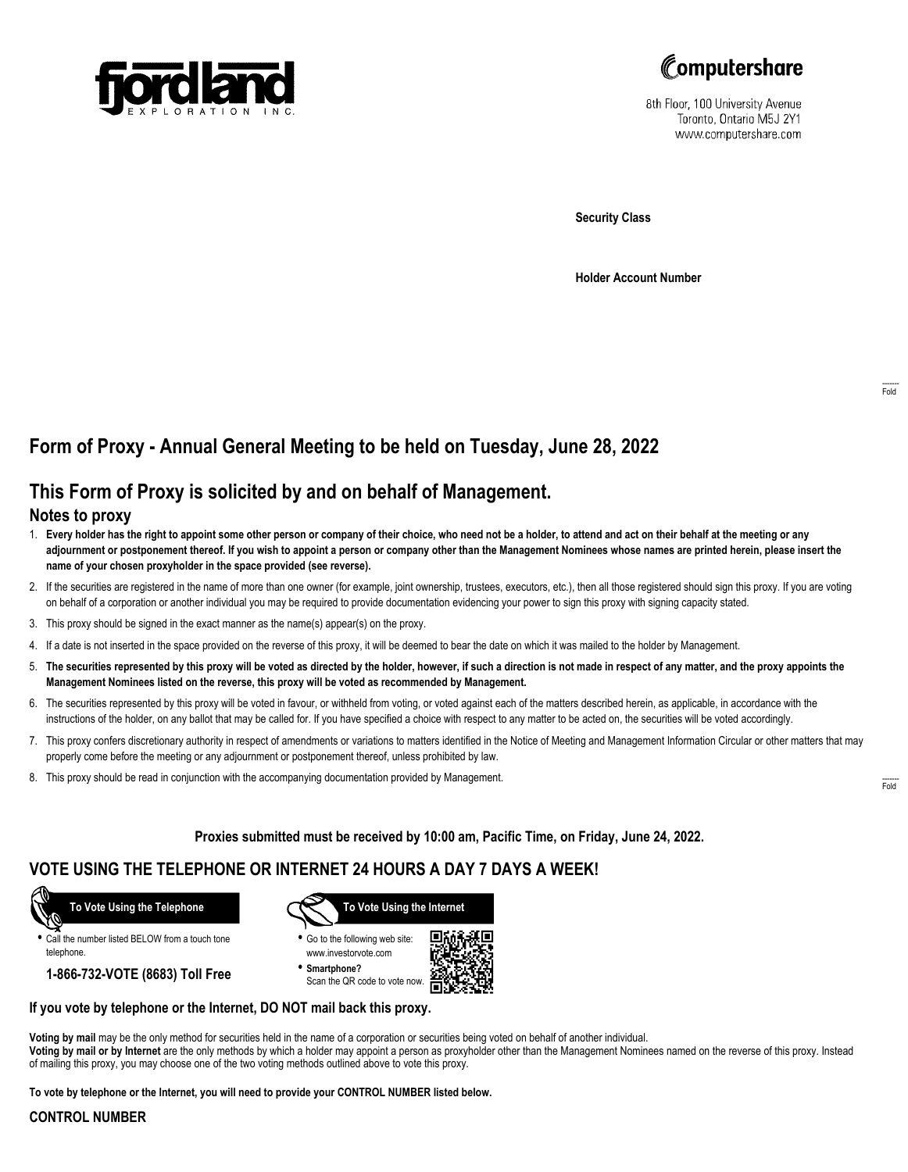



8th Floor, 100 University Avenue Toronto, Ontario M5J 2Y1 www.computershare.com

**Security Class**

**Holder Account Number**

# **Form of Proxy - Annual General Meeting to be held on Tuesday, June 28, 2022**

## **This Form of Proxy is solicited by and on behalf of Management.**

#### **Notes to proxy**

- 1. **Every holder has the right to appoint some other person or company of their choice, who need not be a holder, to attend and act on their behalf at the meeting or any adjournment or postponement thereof. If you wish to appoint a person or company other than the Management Nominees whose names are printed herein, please insert the name of your chosen proxyholder in the space provided (see reverse).**
- 2. If the securities are registered in the name of more than one owner (for example, joint ownership, trustees, executors, etc.), then all those registered should sign this proxy. If you are voting on behalf of a corporation or another individual you may be required to provide documentation evidencing your power to sign this proxy with signing capacity stated.
- 3. This proxy should be signed in the exact manner as the name(s) appear(s) on the proxy.
- 4. If a date is not inserted in the space provided on the reverse of this proxy, it will be deemed to bear the date on which it was mailed to the holder by Management.
- 5. **The securities represented by this proxy will be voted as directed by the holder, however, if such a direction is not made in respect of any matter, and the proxy appoints the Management Nominees listed on the reverse, this proxy will be voted as recommended by Management.**
- 6. The securities represented by this proxy will be voted in favour, or withheld from voting, or voted against each of the matters described herein, as applicable, in accordance with the instructions of the holder, on any ballot that may be called for. If you have specified a choice with respect to any matter to be acted on, the securities will be voted accordingly.
- 7. This proxy confers discretionary authority in respect of amendments or variations to matters identified in the Notice of Meeting and Management Information Circular or other matters that may properly come before the meeting or any adjournment or postponement thereof, unless prohibited by law.
- 8. This proxy should be read in conjunction with the accompanying documentation provided by Management.

**Proxies submitted must be received by 10:00 am, Pacific Time, on Friday, June 24, 2022.**

### **VOTE USING THE TELEPHONE OR INTERNET 24 HOURS A DAY 7 DAYS A WEEK!**



**•** Call the number listed BELOW from a touch tone telephone.

**1-866-732-VOTE (8683) Toll Free**



**•** Go to the following web site: www.investorvote.com

**• Smartphone?** Scan the QR code to vote now.



#### **If you vote by telephone or the Internet, DO NOT mail back this proxy.**

**Voting by mail** may be the only method for securities held in the name of a corporation or securities being voted on behalf of another individual. **Voting by mail or by Internet** are the only methods by which a holder may appoint a person as proxyholder other than the Management Nominees named on the reverse of this proxy. Instead of mailing this proxy, you may choose one of the two voting methods outlined above to vote this proxy.

**To vote by telephone or the Internet, you will need to provide your CONTROL NUMBER listed below.**

#### **CONTROL NUMBER**